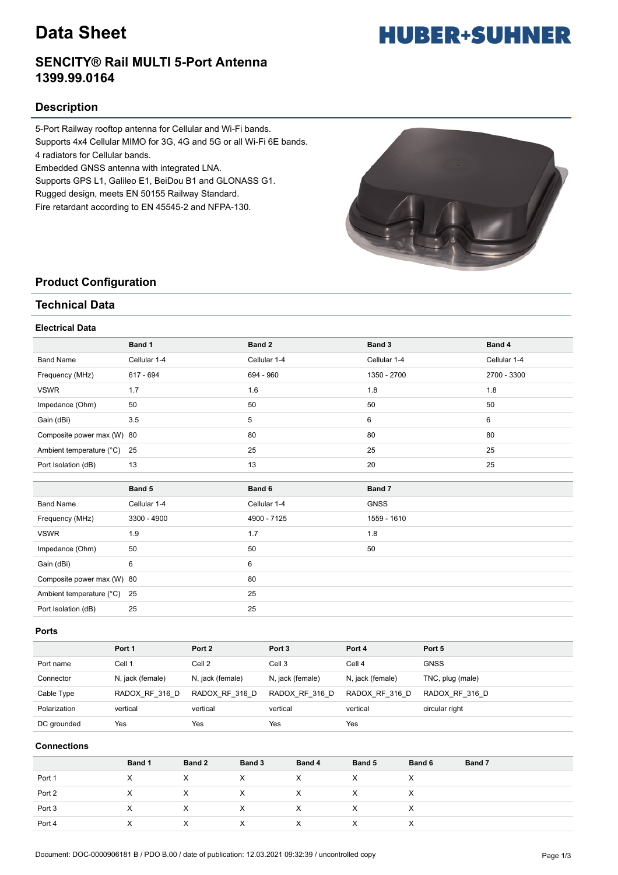# **Data Sheet**

### **SENCITY® Rail MULTI 5-Port Antenna 1399.99.0164**

### **Description**

5-Port Railway rooftop antenna for Cellular and Wi-Fi bands. Supports 4x4 Cellular MIMO for 3G, 4G and 5G or all Wi-Fi 6E bands. 4 radiators for Cellular bands.

Embedded GNSS antenna with integrated LNA.

Supports GPS L1, Galileo E1, BeiDou B1 and GLONASS G1.

Rugged design, meets EN 50155 Railway Standard.

Fire retardant according to EN 45545-2 and NFPA-130.



### **Product Configuration**

### **Technical Data**

### **Electrical Data**

|                            | Band 1       | Band 2       | Band 3       | Band 4       |
|----------------------------|--------------|--------------|--------------|--------------|
| <b>Band Name</b>           | Cellular 1-4 | Cellular 1-4 | Cellular 1-4 | Cellular 1-4 |
| Frequency (MHz)            | 617 - 694    | 694 - 960    | 1350 - 2700  | 2700 - 3300  |
| <b>VSWR</b>                | 1.7          | 1.6          | 1.8          | 1.8          |
| Impedance (Ohm)            | 50           | 50           | 50           | 50           |
| Gain (dBi)                 | 3.5          | 5            | 6            | 6            |
| Composite power max (W) 80 |              | 80           | 80           | 80           |
| Ambient temperature (°C)   | 25           | 25           | 25           | 25           |
| Port Isolation (dB)        | 13           | 13           | 20           | 25           |
|                            |              |              |              |              |
|                            |              |              |              |              |
|                            | Band 5       | Band 6       | Band 7       |              |
| <b>Band Name</b>           | Cellular 1-4 | Cellular 1-4 | <b>GNSS</b>  |              |
| Frequency (MHz)            | 3300 - 4900  | 4900 - 7125  | 1559 - 1610  |              |
| <b>VSWR</b>                | 1.9          | 1.7          | 1.8          |              |
| Impedance (Ohm)            | 50           | 50           | 50           |              |
| Gain (dBi)                 | 6            | 6            |              |              |
| Composite power max (W) 80 |              | 80           |              |              |
| Ambient temperature (°C)   | 25           | 25           |              |              |

### **Ports**

|              | Port 1           | Port 2           | Port <sub>3</sub> | Port 4           | Port 5           |
|--------------|------------------|------------------|-------------------|------------------|------------------|
| Port name    | Cell 1           | Cell 2           | Cell 3            | Cell 4           | <b>GNSS</b>      |
| Connector    | N, jack (female) | N, jack (female) | N, jack (female)  | N, jack (female) | TNC, plug (male) |
| Cable Type   | RADOX RF 316 D   | RADOX RF 316 D   | RADOX RF 316 D    | RADOX RF 316 D   | RADOX RF 316 D   |
| Polarization | vertical         | vertical         | vertical          | vertical         | circular right   |
| DC grounded  | Yes              | Yes              | Yes               | Yes              |                  |

### **Connections**

|        | Band 1 | Band 2       | Band 3 | Band 4 | Band 5 | Band 6 | Band 7 |
|--------|--------|--------------|--------|--------|--------|--------|--------|
| Port 1 | х      | $\checkmark$ |        |        |        | ⋏      |        |
| Port 2 | x      |              |        |        |        | X      |        |
| Port 3 | X      |              |        |        | х      | ⋏      |        |
| Port 4 |        |              |        |        |        | х      |        |

# **HUBER+SUHNER**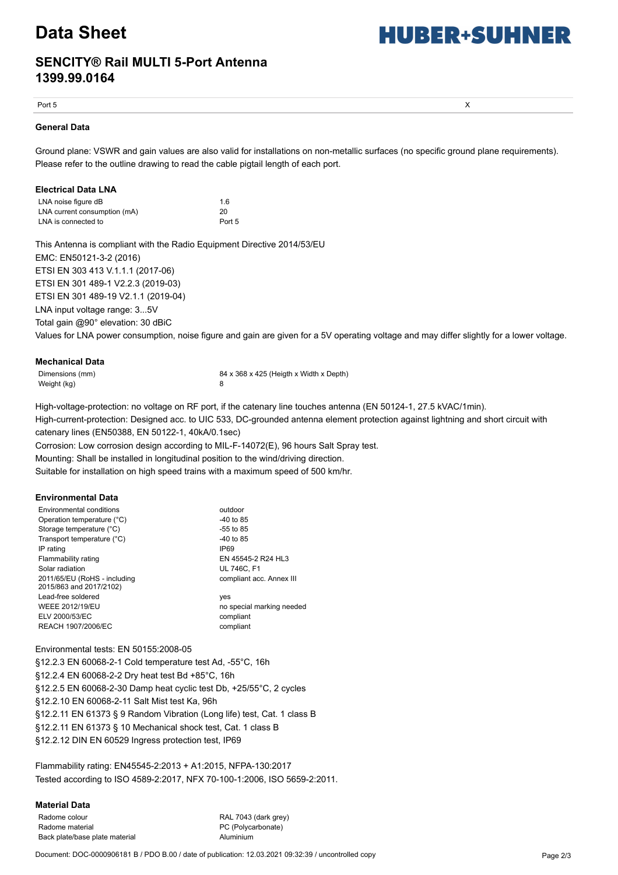## **Data Sheet**

# **HUBER+SUHNER**

### **SENCITY® Rail MULTI 5-Port Antenna 1399.99.0164**

Port 5  $\times$ 

### **General Data**

Ground plane: VSWR and gain values are also valid for installations on non-metallic surfaces (no specific ground plane requirements). Please refer to the outline drawing to read the cable pigtail length of each port.

### **Electrical Data LNA**

| LNA noise figure dB          | 1.6    |
|------------------------------|--------|
| LNA current consumption (mA) | 20     |
| LNA is connected to          | Port 5 |

This Antenna is compliant with the Radio Equipment Directive 2014/53/EU EMC: EN50121-3-2 (2016) ETSI EN 303 413 V.1.1.1 (2017-06) ETSI EN 301 489-1 V2.2.3 (2019-03) ETSI EN 301 489-19 V2.1.1 (2019-04) LNA input voltage range: 3...5V

Total gain @90° elevation: 30 dBiC

Values for LNA power consumption, noise figure and gain are given for a 5V operating voltage and may differ slightly for a lower voltage.

| Mechanical Data |  |
|-----------------|--|
|-----------------|--|

| Dimensions (mm) | 84 x 368 x 425 (Heigth x Width x Depth) |
|-----------------|-----------------------------------------|
| Weight (kg)     |                                         |

High-voltage-protection: no voltage on RF port, if the catenary line touches antenna (EN 50124-1, 27.5 kVAC/1min). High-current-protection: Designed acc. to UIC 533, DC-grounded antenna element protection against lightning and short circuit with catenary lines (EN50388, EN 50122-1, 40kA/0.1sec)

Corrosion: Low corrosion design according to MIL-F-14072(E), 96 hours Salt Spray test.

Mounting: Shall be installed in longitudinal position to the wind/driving direction.

Suitable for installation on high speed trains with a maximum speed of 500 km/hr.

### **Environmental Data**

| Environmental conditions                                | outdoor                   |
|---------------------------------------------------------|---------------------------|
| Operation temperature (°C)                              | $-40$ to 85               |
| Storage temperature (°C)                                | $-55$ to 85               |
| Transport temperature (°C)                              | $-40$ to 85               |
| IP rating                                               | IP <sub>69</sub>          |
| Flammability rating                                     | EN 45545-2 R24 HL3        |
| Solar radiation                                         | <b>UL 746C. F1</b>        |
| 2011/65/EU (RoHS - including<br>2015/863 and 2017/2102) | compliant acc. Annex III  |
| Lead-free soldered                                      | yes                       |
| <b>WEEE 2012/19/EU</b>                                  | no special marking needed |
| ELV 2000/53/EC                                          | compliant                 |
| REACH 1907/2006/EC                                      | compliant                 |

Environmental tests: EN 50155:2008-05

§12.2.3 EN 60068-2-1 Cold temperature test Ad, -55°C, 16h §12.2.4 EN 60068-2-2 Dry heat test Bd +85°C, 16h §12.2.5 EN 60068-2-30 Damp heat cyclic test Db, +25/55°C, 2 cycles §12.2.10 EN 60068-2-11 Salt Mist test Ka, 96h §12.2.11 EN 61373 § 9 Random Vibration (Long life) test, Cat. 1 class B §12.2.11 EN 61373 § 10 Mechanical shock test, Cat. 1 class B §12.2.12 DIN EN 60529 Ingress protection test, IP69

Flammability rating: EN45545-2:2013 + A1:2015, NFPA-130:2017 Tested according to ISO 4589-2:2017, NFX 70-100-1:2006, ISO 5659-2:2011.

### **Material Data**

Radome colour **RAL 7043** (dark grey) Radome material example and the example of PC (Polycarbonate) Back plate/base plate material and a metal and aluminium